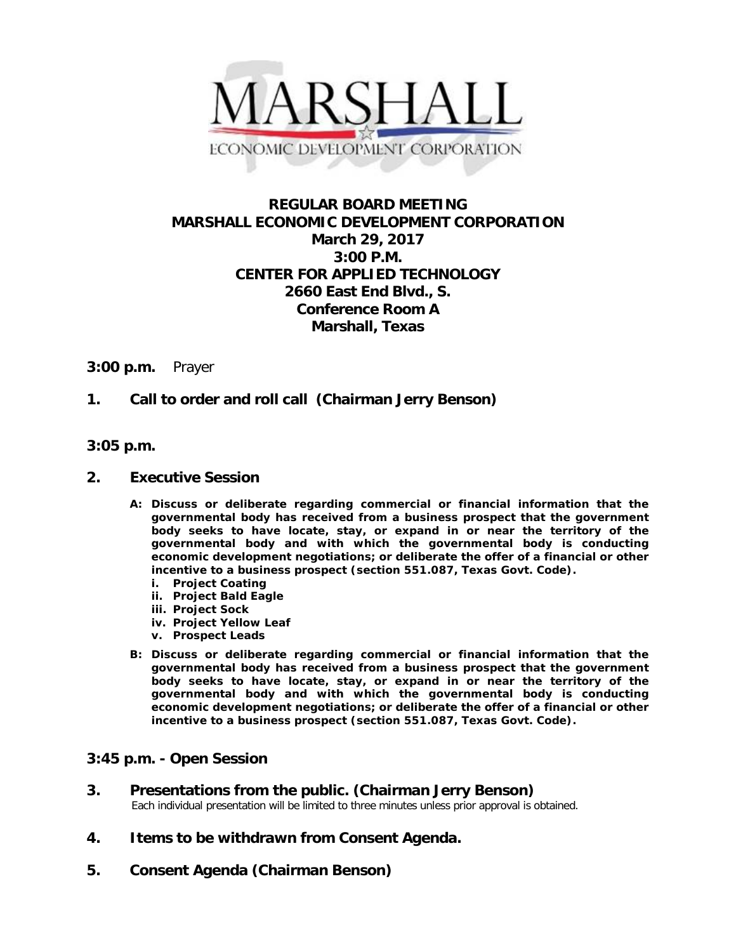

## **REGULAR BOARD MEETING MARSHALL ECONOMIC DEVELOPMENT CORPORATION March 29, 2017 3:00 P.M. CENTER FOR APPLIED TECHNOLOGY 2660 East End Blvd., S. Conference Room A Marshall, Texas**

#### **3:00 p.m.** Prayer

## **1. Call to order and roll call (Chairman Jerry Benson)**

#### **3:05 p.m.**

#### **2. Executive Session**

- **A: Discuss or deliberate regarding commercial or financial information that the governmental body has received from a business prospect that the government body seeks to have locate, stay, or expand in or near the territory of the governmental body and with which the governmental body is conducting economic development negotiations; or deliberate the offer of a financial or other incentive to a business prospect (section 551.087, Texas Govt. Code).**
	- **i. Project Coating**
	- **ii. Project Bald Eagle**
	- **iii. Project Sock**
	- **iv. Project Yellow Leaf**
	- **v. Prospect Leads**
- **B: Discuss or deliberate regarding commercial or financial information that the governmental body has received from a business prospect that the government body seeks to have locate, stay, or expand in or near the territory of the governmental body and with which the governmental body is conducting economic development negotiations; or deliberate the offer of a financial or other incentive to a business prospect (section 551.087, Texas Govt. Code).**

### **3:45 p.m. - Open Session**

# **3. Presentations from the public. (Chairman Jerry Benson)**<br>Each individual presentation will be limited to three minutes unless prior approval is obtained.

- **4. Items to be withdrawn from Consent Agenda.**
- **5. Consent Agenda (Chairman Benson)**